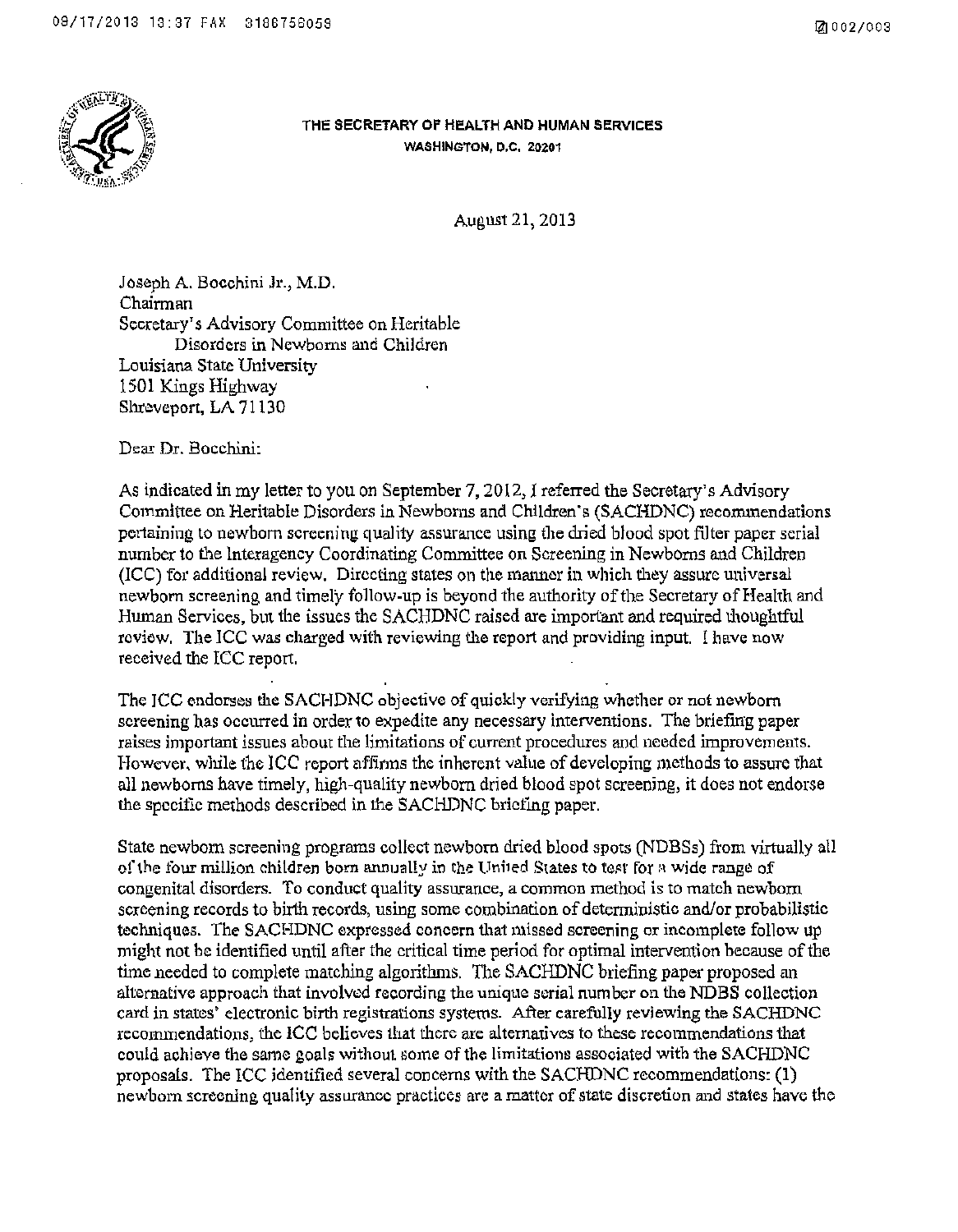

## THE SECRETARY OF HEALTH AND HUMAN SERVICES WASHINGTON, D.C. 20201

August21, 2013

Joseph A. Bocchini Jr., M.D. Chairman Secretary's Advisory Committee on Heritable Disorders in Newborns and Children Louisiana State University 1501 Kings Highway Shreveport, LA 71130

Dear Dr. Bocchini:

As indicated in my letter to you on September 7, 2012, I referred the Secretary's Advisory Committee on Heritable Disorders in Newborns and Children ·s (SACHDNC) recommendations pertaining to newborn screening quality assurance using the dried blood spot filter paper serial number to the Interagency Coordinating Committee on Screening in Newborns and Children (ICC) for additional review. Directing states on the manner in which they assure universal newborn screening and timely follow-up is beyond the authority of the Secretary of Health and Human Services, but the issues the SACHDNC raised are important and required thoughtful review. The ICC was charged with reviewing the report and providing input. I have now received the ICC report.

The JCC endorses the SACHDNC objective of quickly verifying whether or not newborn screening has occurred in order to expedite any necessary interventions. The briefing paper raises important issues about the limitations of current procedures and needed improvements. However, while the ICC report affirms the inherent value of developing methods to assure that all newborns have timely, high-quality newborn dried blood spot screening, it does not endorse the specific methods described in the SACHDNC briefing paper.

State newborn screening programs collect newborn dried blood spots (NDBSs) from virtually all of the four million children born annually in the United States to test for a wide range of congenital disorders. To conduct quality assurance, a common method is to match newborn screening records to birth records, using some combination of deterministic and/or probabilistic techniques. The SACHDNC expressed concern that missed screening or incomplete follow up might not be identified until after the critical time period for optimal intervention because of the time needed to complete matching algorithms. The SACHDNC briefing paper proposed an alternative approach that involved recording the unique serial number on the NDBS collection card in states' electronic birth registrations systems. After carefully reviewing the SACHDNC recommendations, the ICC believes that there are alternatives to these recommendations that could achieve the same goals without some of the limitations associated with the SACHDNC proposals. The ICC identified several concerns with the SACHDNC recommendations: (1) newborn screening quality assurance practices are a matter of state discretion and states have the